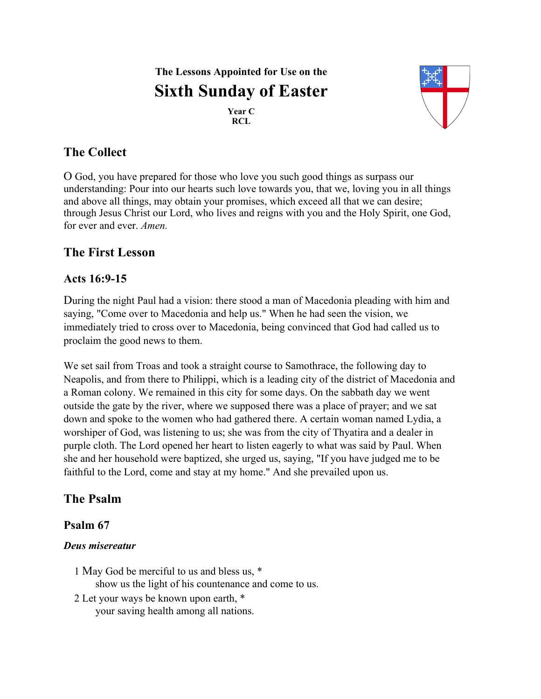# **The Lessons Appointed for Use on the Sixth Sunday of Easter**

**Year C RCL**



# **The Collect**

O God, you have prepared for those who love you such good things as surpass our understanding: Pour into our hearts such love towards you, that we, loving you in all things and above all things, may obtain your promises, which exceed all that we can desire; through Jesus Christ our Lord, who lives and reigns with you and the Holy Spirit, one God, for ever and ever. *Amen.*

### **The First Lesson**

#### **Acts 16:9-15**

During the night Paul had a vision: there stood a man of Macedonia pleading with him and saying, "Come over to Macedonia and help us." When he had seen the vision, we immediately tried to cross over to Macedonia, being convinced that God had called us to proclaim the good news to them.

We set sail from Troas and took a straight course to Samothrace, the following day to Neapolis, and from there to Philippi, which is a leading city of the district of Macedonia and a Roman colony. We remained in this city for some days. On the sabbath day we went outside the gate by the river, where we supposed there was a place of prayer; and we sat down and spoke to the women who had gathered there. A certain woman named Lydia, a worshiper of God, was listening to us; she was from the city of Thyatira and a dealer in purple cloth. The Lord opened her heart to listen eagerly to what was said by Paul. When she and her household were baptized, she urged us, saying, "If you have judged me to be faithful to the Lord, come and stay at my home." And she prevailed upon us.

# **The Psalm**

### **Psalm 67**

#### *Deus misereatur*

- 1 May God be merciful to us and bless us, \* show us the light of his countenance and come to us.
- 2 Let your ways be known upon earth, \* your saving health among all nations.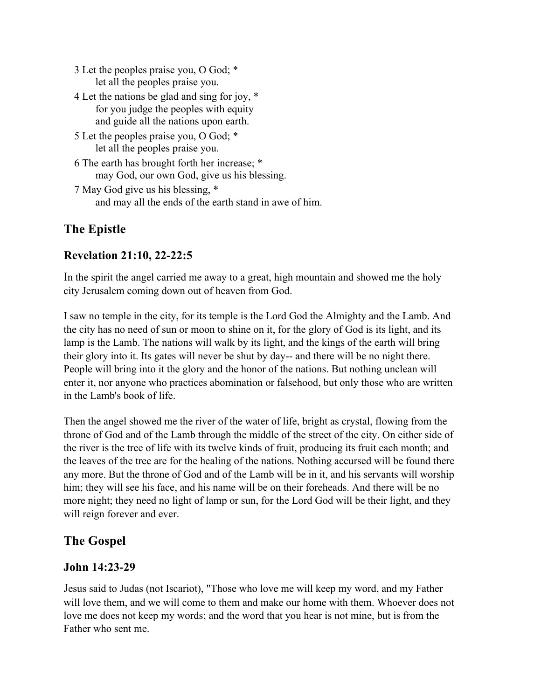- 3 Let the peoples praise you, O God; \* let all the peoples praise you.
- 4 Let the nations be glad and sing for joy, \* for you judge the peoples with equity and guide all the nations upon earth.
- 5 Let the peoples praise you, O God; \* let all the peoples praise you.
- 6 The earth has brought forth her increase; \* may God, our own God, give us his blessing.
- 7 May God give us his blessing, \* and may all the ends of the earth stand in awe of him.

### **The Epistle**

### **Revelation 21:10, 22-22:5**

In the spirit the angel carried me away to a great, high mountain and showed me the holy city Jerusalem coming down out of heaven from God.

I saw no temple in the city, for its temple is the Lord God the Almighty and the Lamb. And the city has no need of sun or moon to shine on it, for the glory of God is its light, and its lamp is the Lamb. The nations will walk by its light, and the kings of the earth will bring their glory into it. Its gates will never be shut by day-- and there will be no night there. People will bring into it the glory and the honor of the nations. But nothing unclean will enter it, nor anyone who practices abomination or falsehood, but only those who are written in the Lamb's book of life.

Then the angel showed me the river of the water of life, bright as crystal, flowing from the throne of God and of the Lamb through the middle of the street of the city. On either side of the river is the tree of life with its twelve kinds of fruit, producing its fruit each month; and the leaves of the tree are for the healing of the nations. Nothing accursed will be found there any more. But the throne of God and of the Lamb will be in it, and his servants will worship him; they will see his face, and his name will be on their foreheads. And there will be no more night; they need no light of lamp or sun, for the Lord God will be their light, and they will reign forever and ever.

# **The Gospel**

#### **John 14:23-29**

Jesus said to Judas (not Iscariot), "Those who love me will keep my word, and my Father will love them, and we will come to them and make our home with them. Whoever does not love me does not keep my words; and the word that you hear is not mine, but is from the Father who sent me.